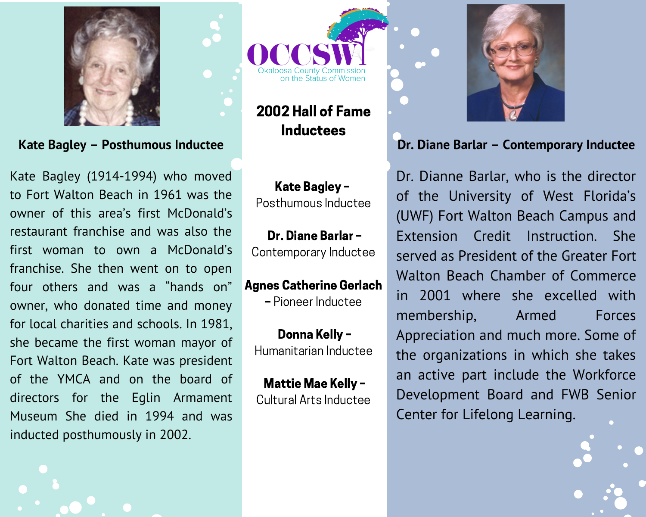

Kate Bagley - Posthumous Inductee

Kate Bagley (1914-1994) who moved to Fort Walton Beach in 1961 was the owner of this area's first McDonald's restaurant franchise and was also the first woman to own a McDonald's franchise. She then went on to open four others and was a "hands on" owner, who donated time and money for local charities and schools. In 1981, she became the first woman mayor of Fort Walton Beach. Kate was president of the YMCA and on the board of directors for the Eqlin Armament Museum She died in 1994 and was inducted posthumously in 2002.

on the Status of Women

2002 Hall of Fame **Inductees** 

Kate Bagley -Posthumous Inductee

Dr. Diane Barlar -Contemporary Inductee

**Agnes Catherine Gerlach** 

- Pioneer Inductee

Donna Kelly -Humanitarian Inductee

**Mattie Mae Kelly -**Cultural Arts Inductee



### Dr. Diane Barlar - Contemporary Inductee

Dr. Dianne Barlar, who is the director of the University of West Florida's (UWF) Fort Walton Beach Campus and Extension Credit Instruction. She served as President of the Greater Fort Walton Beach Chamber of Commerce in 2001 where she excelled with membership. Armed **Forces** Appreciation and much more. Some of the organizations in which she takes an active part include the Workforce Development Board and FWB Senior Center for Lifelong Learning.